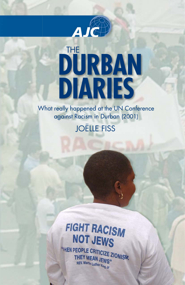

# **DURBAN DIARIES** THE

What really happened at the UN Conference against Racism in Durban (2001)

### JOËLLE FISS

## FIGHT RACISM NOT JEWS

"HEN PEOPLE CRITICIZE ZIONISM, THEY MEAN JEWS" REV. Martin Luther King Jr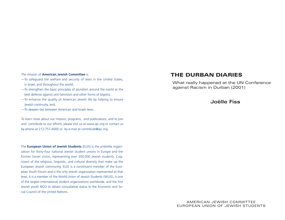#### The mission of **American Jewish Committee** is:

- —To safeguard the welfare and security of Jews in the United States, in Israel, and throughout the world;
- —To strengthen the basic principles of pluralism around the world as the best defense against anti-Semitism and other forms of bigotry;
- —To enhance the quality of American Jewish life by helping to ensure Jewish continuity, and;
- —To deepen ties between American and Israeli Jews.

To learn more about our mission, programs, and publications, and to join and contribute to our efforts, please visit us at www.ajc.org or contact us by phone at 212-751-4000 or by e-mail at contribute@ajc.org.

The **European Union of Jewish Students** (EUJS) is the umbrella organization for thirty-four national Jewish student unions in Europe and the Former Soviet Union, representing over 200,000 Jewish students. Cognizant of the religious, linguistic, and cultural diversity that make up the European Jewish community, EUJS is a constituent member of the European Youth Forum and is the only Jewish organization represented at that level. It is a member of the World Union of Jewish Students (WUJS), is one of the largest international student organizations worldwide, and the first Jewish youth NGO to obtain consultative status to the Economic and Social Council of the United Nations.

#### **THE DURBAN DIARIES**

What really happened at the UN Conference against Racism in Durban (2001)

#### **Joëlle Fiss**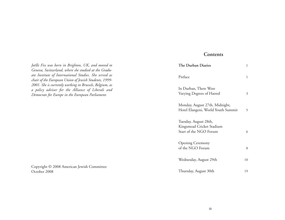#### **Contents**

| The Durban Diaries                                                           | 1  |
|------------------------------------------------------------------------------|----|
| Preface                                                                      | 1  |
| In Durban, There Were<br>Varying Degrees of Hatred                           | 3  |
| Monday, August 27th, Midnight,<br>Hotel Elangeni, World Youth Summit         | 5  |
| Tuesday, August 28th,<br>Kingsmead Cricket Stadium<br>Start of the NGO Forum | 6  |
| <b>Opening Ceremony</b><br>of the NGO Forum                                  | 8  |
| Wednesday, August 29th                                                       | 10 |
| Thursday, August 30th                                                        | 19 |

*Joëlle Fiss was born in Brighton, UK, and moved to Geneva, Switzerland, where she studied at the Graduate Institute of International Studies. She served as chair of the European Union of Jewish Students, 1999- 2001. She is currently working in Brussels, Belgium, as a policy advisor for the Alliance of Liberals and Democrats for Europe in the European Parliament.*

Copyright © 2008 American Jewish Committee October 2008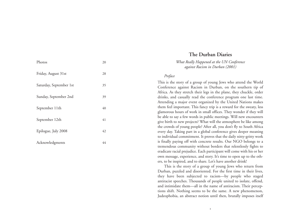| Photos                  | 20 |
|-------------------------|----|
| Friday, August 31st     | 28 |
| Saturday, September 1st | 35 |
| Sunday, September 2nd   | 39 |
| September 11th          | 40 |
| September 12th          | 41 |
| Epilogue, July 2008     | 42 |
| Acknowledgments         | 44 |

#### **The Durban Diaries**

*What Really Happened at the UN Conference against Racism in Durban (2001)*

#### *Preface*

This is the story of a group of young Jews who attend the World Conference against Racism in Durban, on the southern tip of Africa. As they stretch their legs in the plane, they chuckle, order drinks, and casually read the conference program one last time. Attending a major event organized by the United Nations makes them feel important. This fancy trip is a reward for the sweaty, less <sup>g</sup>lamorous hours of work in small offices. They wonder if they will be able to say a few words in public meetings. Will new encounters <sup>g</sup>ive birth to new projects? What will the atmosphere be like among the crowds of young people? After all, you don't fly to South Africa every day. Taking part in a global conference gives deeper meaning to individual commitment. It proves that the daily nitty-gritty work is finally paying off with concrete results. Our NGO belongs to a tremendous community without borders that relentlessly fights to eradicate racial prejudice. Each participant will come with his or her own message, experience, and story. It's time to open up to the others, to be inspired, and to share. Let's have another drink!

This is the story of a group of young Jews who return from Durban, puzzled and disoriented. For the first time in their lives, they have been subjected to racism—by people who staged antiracist speeches. Thousands of people united to isolate, offend, and intimidate them—all in the name of antiracism. Their perceptions shift. Nothing seems to be the same. A new phenomenon, Judeophobia, an abstract notion until then, brutally imposes itself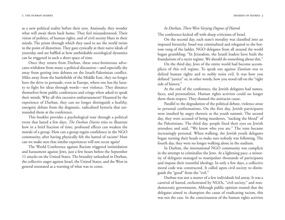as a new political reality before their eyes. Anxiously, they wonder what will await them back home. They feel misunderstood. Their vision of politics, of human rights, and of civil society blurs in their minds. The prism through which they used to see the world twists to the point of distortion. They gaze cynically at their naive ideals of yesterday and are baffled at how unthinkable sociological dynamics can be triggered in such a short space of time.

Once they return from Durban, these once-boisterous advocates withdraw from many a political discussion—and especially shy away from getting into debates on the Israeli-Palestinian conflict. Miles away from the battlefields of the Middle East, they no longer have the drive to persuade, even in Europe, where one has the luxury to fight for ideas through words—not violence. They distance themselves from public conferences and cringe when asked to speak their minds. Why all this excessive embarrassment? Haunted by the experience of Durban, they can no longer distinguish a healthy, energetic debate from the dogmatic, radicalized hysteria that surrounded them at the conference.

This booklet provides a psychological tour through a political event that lasted a few days. *The Durban Diaries* tries to illustrate how in a brief fraction of time, profound effects can weaken the morale of a group. How can a group regain confidence in the NGO community, after having physically felt the hatred of racism? How can we make sure that similar experiences will not occur again?

The World Conference against Racism triggered intimidation and harassment against Jews, just a few hours before the September 11 attacks on the United States. The brutality unleashed in Durban, the collective anger against Israel, the United States, and the West in general resonated as a warning of what was to come.

#### *In Durban, There Were Varying Degrees of Hatred*

The conference kicked off with sharp criticisms of Israel.

On the second day, each state's morality was classified into an imposed hierarchy. Israel was criminalized and relegated to the bottom rung of the ladder. NGO delegates from all around the world began grumbling: "In Jerusalem, the Israeli leaders have built the foundations of a racist regime. We should do something about this."

On the third day, Jews of the entire world had become accom<sup>p</sup>lices of this evil regime. To speak out against Zionism was to defend human rights and to nobly resist evil. It was how you defined "justice" or, in other words, how you stood tall on the "right side of history."

At the end of the conference, the Jewish delegates had names, faces, and personalities. Human rights activists could no longer show them respect. They shamed the antiracist cause.

Parallel to the degradation of the political debate, violence arose in personal confrontations. On the first day, Jewish participants were insulted by angry rhetoric at the youth summit. The second day, they were accused of being murderers, "sucking the blood" of the Palestinians. The third day, people fixed their eyes on Jewish attendees and said, "We know who you are." The tone became increasingly personal. When walking, the Jewish youth delegates began turning their heads to make sure nobody was following. The fourth day, they were no longer walking alone in the stadium.

In Durban, the international NGO community was complicit in the attempt to criminalize the Jews. At a lightning pace, a minority of delegates managed to manipulate thousands of participants and impose their resentful ideology. In only a few days, a collective moral code was constructed. It called upon civil society to distinguish the "good" from the "evil."

Durban was not a matter of a few individuals led astray. It was a carnival of hatred, orchestrated by NGOs, "civil society," and nondemocratic governments. Although public opinion trusted that the delegates aimed to champion the cause of eradicating racism, this was not the case. In the consciousness of the human rights activists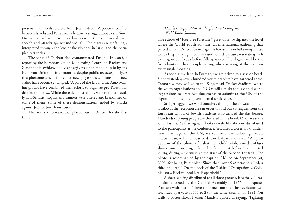present, many evils resulted from Jewish deeds: A political conflict between Israelis and Palestinians became a struggle about race. Since Durban, anti-Jewish virulence has been on the rise through hate speech and attacks against individuals. These acts are unfailingly interpreted through the lens of the violence in Israel and the occupied territories.

The virus of Durban also contaminated Europe. In 2003, a report by the European Union Monitoring Centre on Racism and Xenophobia (which, oddly enough, was not made public by the European Union for four months, despite public requests) analyzes this phenomenon. It finds that new players, new means, and new stakes have become entangled. "A part of the left and the Arab-Muslim groups have combined their efforts to organize pro-Palestinian demonstrations.... While these demonstrations were not intrinsically anti-Semitic, slogans and banners were uttered and brandished on some of them; some of these demonstrations ended by attacks against Jews or Jewish institutions."

This was the scenario that played out in Durban for the first time.

#### *Monday, August 27th, Midnight, Hotel Elangeni, World Youth Summit*

The echoes of "Free, free Palestine!" greet us as we slip into the hotel where the World Youth Summit (an international gathering that preceded the UN Conference against Racism) is in full swing. These words keep buzzing in our ears until our departure, resonating each evening in our heads before falling asleep. The slogans will be the first chants we hear people yelling when arriving at the stadium every single morning.

As soon as we land in Durban, we are driven to a seaside hotel. Since yesterday, seven hundred youth activists have gathered there. Tomorrow they will go to the Kingsmead Cricket Stadium, where the youth organizations and NGOs will simultaneously hold working sessions to draft two documents to submit to the UN at the beginning of the intergovernmental conference.

Still jet-lagged, we wind ourselves through the crowds and hullabaloo at the reception area in order to find our colleagues from the European Union of Jewish Students who arrived the day before. Hundreds of young people are clustered in the hotel. Many wear the same T-shirt. At first sight, it looks exactly like the one distributed to the participants at the conference. Yet, after a closer look, underneath the logo of the UN, we can read the following words: "Racism can, will and must be defeated. Apartheid is real." A reproduction of the photo of Palestinian child Mohammed al-Dura shows him crouching behind his father just before his reported killing during a skirmish at the start of the Second Intifada. The photo is accompanied by the caption: "Killed on September 30, 2000, for being Palestinian. Since then, over 532 persons killed, a third children." On the back of the T-shirt: "Occupation = Colonialism = Racism. End Israeli apartheid."

A sheet is being distributed to all those present. It is the UN resolution adopted by the General Assembly in 1975 that equates Zionism with racism. There is no mention that this resolution was rescinded by a vote of 111 to 25 in the same assembly in 1991. On walls, a poster shows Nelson Mandela quoted as saying, "Fighting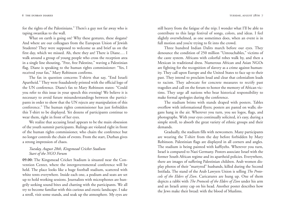for the rights of the Palestinians." There's a guy not far away who is taping swastikas to the wall.

What on earth is going on? Why these gestures, these slogans? And where are our colleagues from the European Union of Jewish Students? They were supposed to welcome us and brief us on the first day, which we missed. Ah, there they are! There is Diane.… I walk around a group of young people who cross the reception area in a single line shouting, "Free, free Palestine," waving a Palestinian flag. Diane is speaking to the human rights commissioner: "Yes, I received your fax," Mary Robinson confirms.

The fax in question concerns T-shirts that say, "End Israeli Apartheid." They were fraudulently printed with the official logo of the UN conference. Diane's fax to Mary Robinson states: "Could you refer to this issue in your speech this evening? We believe it is necessary to avoid future misunderstandings between the participants in order to show that the UN rejects any manipulation of this conference." The human rights commissioner has just forbidden this T-shirt to be displayed. Yet dozens of participants continue to wear them, right in front of her eyes.

We realize that accusing Israel appears to be the main obsession of the youth summit participants. Rulings are violated right in front of the human rights commissioner, who chairs the conference but no longer controls the chain of events. From the start, Durban gives a strong impression of chaos.

#### *Tuesday, August 28th, Kingsmead Cricket Stadium Start of the NGO Forum*

**09.00:** The Kingsmead Cricket Stadium is situated near the Convention Center, where the intergovernmental conference will be held. The place looks like a huge football stadium, scattered with white tents everywhere. Inside each one, a podium and seats are set up to hold working sessions. Journalists with microphones are hungrily seeking sound bites and chatting with the participants. We all try to become familiar with this curious and exotic landscape. I take a stroll, visit some stands, and soak up the atmosphere. My eyes are still heavy from the fatigue of the trip; I wonder what I'll be able to contribute to this large festival of songs, colors, and ideas. I feel slightly overwhelmed, as one sometimes does, when an event is in full motion and you're trying to fit into the crowd.

Three hundred Indian Dalits march before our eyes. They denounce the condition of 250 million "Untouchables," victims of the caste system. Africans with colorful robes walk by, and then a Mexican in traditional dress. Numerous African and Asian NGOs are fighting for the recognition of slavery as a crime against humanity. They call upon Europe and the United States to face up to their past. They intend to proclaim loud and clear that colonialism leads to racism. They advocate for concrete measures to rectify past tragedies and call on the forum to honor the memory of African victims. They urge all nations who bear historical responsibility to make formal apologies during the conference.

The stadium brims with stands draped with posters. Tables overflow with informational flyers; posters are pasted on walls; slogans hang in the air. Wherever you turn, you see logos, flags, and <sup>p</sup>hotographs. With your eyes continually solicited, it's easy, during a simple stroll, to absorb the great variety of ethnic groups and their demands.

Gradually, the stadium fills with newcomers. Many participants are wearing the T-shirt from the day before forbidden by Mary Robinson. Palestinian flags are displayed in all corners and angles. The stadium is being painted with kaffiyehs. Wherever you turn, Israel is compared to Nazi Germany. Posters associate Israel with the former South African regime and its apartheid policies. Everywhere, there are images of suffering Palestinian children. Arab women dis<sup>p</sup>lay photos of their "martyred" husbands, killed during the Second Intifada. The stand of the Arab Lawyers Union is selling *The Protocols of the Elders of Zion*. Caricatures are hung up. One of them depicts a rabbi with *The Protocols of the Elders of Zion* under his arm and an Israeli army cap on his head. Another poster describes how the Jews make their bread: with the blood of Muslims.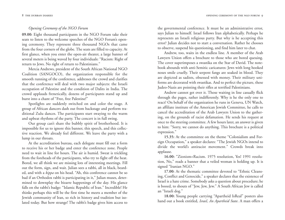#### *Opening Ceremony of the NGO Forum*

**09.00:** Eight thousand participants in the NGO Forum take their seats to listen to the welcome speeches of the NGO Forum's opening ceremony. They represent three thousand NGOs that came from the four corners of the globe. The seats are filled to capacity. At first glance, when you enter the open-air theater, a large banner of several meters is being waved by four individuals: "Racism: Right of return to Jews. No right of return to Palestinians."

Mercia Andrews, president of the South African National NGO Coalition (SANGOCO), the organization responsible for the smooth running of the conference, addresses the crowd and clarifies that the conference will deal with two major subjects: the Israeli occupation of Palestine and the condition of Dalits in India. The crowd applauds frenetically, dozens of participants stand up and burst into a chant of "Free, free Palestine!"

Spotlights are suddenly switched on and color the stage. A group of African dancers dash out from backstage and perform traditional Zulu dances. The participants start swaying to the warm and upbeat rhythms of the party. The concert is in full swing.

Our group can't share the bubbly spirit of brotherhood. It is impossible for us to ignore this banner, this speech, and this collective reaction. We already feel different. We leave the party with a lump in our throats.

At the accreditation bureau, each delegate must fill out a form to receive his or her badge and enter the conference zone. People need to wait in line for hours. The air is humid. Sweat is trickling from the foreheads of the participants, who try to fight off the heat. Bored, we all think we are missing lots of interesting meetings. Fill out the form, sign, and wait. Julian sees a rabbi, all in black, bearded, and with a *kippa* on his head. "Ah, this conference cannot be so bad if an Orthodox rabbi is participating in it," Julian muses, determined to downplay the bizarre happenings of the day. His glance falls on the rabbi's badge: "Islamic Republic of Iran." Incredible! He thinks perhaps this will be the first time he meets a member of the Jewish community of Iran, so rich in history and tradition but isolated today. But how strange! The rabbi's badge gives him access to

the governmental conference. It must be an administrative error, says Julian to himself. Israel follows Iran alphabetically. Perhaps he represents an Israeli religious party. But why is he accepting this error? Julian decides not to start a conversation. Rather he chooses to observe, suspend his questioning, and find him later to chat.

Andrew, too, waits in the endless line. A member of the Arab Lawyers Union offers a brochure to those who are bored queuing. The cover superimposes a swastika on the Star of David. The notebook abounds with anti-Semitic caricatures: Jews with long hooked noses smile cruelly. Their serpent fangs are soaked in blood. They are depicted as sadists, obsessed with money. Their military uniforms are decorated with swastikas. And to perfect the picture, these Judeo-Nazis are pointing their rifles at terrified Palestinians.

Andrew cannot get over it. Those waiting in line casually flick through the pages, rather indifferently. Why is he the only one to react? On behalf of the organization he runs in Geneva, UN Watch, an affiliate institute of the American Jewish Committee, he calls to cancel the accreditation of the Arab Lawyers Union to the gathering, on the grounds of racist defamation. He sends his request at once to the steering committee. A few hours later, an answer is given to him: "Sorry, we cannot do anything. This brochure is a political expression."

**15.35:** At the committee on the theme "Colonialism and Foreign Occupation," a speaker declares: "The Jewish NGOs intend to divide the world's antiracist movement." Crowds break into applause.

**16.00:** "Zionism=Racism. 1975 resolution, Yes! 1991 resolution, No," reads a banner that a veiled woman is holding up. It is signed "Iranian NGO."

**17.00:** At the thematic committee devoted to "Ethnic Cleansing, Conflict and Genocide," a speaker declares that the existence of Israel is a hate crime. Somebody asks a question about procedure; he is booed, to shouts of "Jew, Jew, Jew." A South African Jew is called an "Israeli dog."

**18.00:** Young people carrying "Apartheid IsReal" posters also hand out a book entitled, *Israel, An Apartheid State*. A man offers a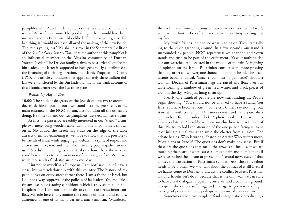pamphlet with Adolf Hitler's photo on it to the crowd. The text reads: "What if I had won? The good thing is there would have been no Israel and no Palestinian bloodshed. The rest is your guess. The bad thing is I would not have allowed the making of the new Beetle. The rest is your guess." We shall discover in the September 9 edition of the *South African Sunday Times* that the author of this pamphlet is an influential member of the Muslim community of Durban, Yousuf Deedat. The Deedat family claims to be a "friend" of Osama bin Laden. The latter is supposed to have generously contributed to the financing of their organization, the Islamic Propagation Centre (IPC). The article emphasizes that approximately three million dollars were transferred by the Bin Laden family to the bank account of this Islamic center over the last three years.

#### *Wednesday, August 29th*

**10.00:** The student delegates of the Jewish caucus (we're around a dozen) decide to put up our own stand near the press tent, at the main entrance of the NGO Forum. Let's do what all the others are doing. It's time to hand out *our* pamphlets. Let's explain *our* slogans.

At first, the passersby are oddly interested in our "stand," a sim<sup>p</sup>le two-meter-long wooden table, with a pile of pamphlets thrown on it. No doubt, the Israeli flag stuck on the edge of the table attracts them. By exhibiting it, we hope to show that it is possible to be friends of Israel while engaging in debate in a spirit of respect and antiracism. Five, ten, and then about twenty people gather around us. A Swedish human rights activist asks me how I have the nerve to stand here and try to raise awareness of the ravages of anti-Semitism while thousands of Palestinians die every day.

I introduce myself as a European. I am not Israeli, but I have a close, intimate relationship with this country. The history of my people lives on every street corner there. I am a friend of Israel, but I do not always approve of the policies of its leaders. Yes, the Palestinians live in devastating conditions, which is truly shameful for all. I explain that I am not here to discuss the Israeli-Palestinian conflict. My role here is to examine the scourge of racism and to raise awareness of one of its many variants, anti-Semitism. "Murderer,"

she exclaims in front of curious onlookers who cheer her. "Haven't you ever set foot in Gaza?" she asks, closely pointing her finger at my face.

My Jewish friends come to see what is going on. They start talking to the circle gathering around. In a few seconds, our stand is surrounded by people. NGO representatives abandon their own stands and rush to be part of the excitement. It's as if nothing else but our wretched table existed in the middle of the fair. As if giving an opinion on the Israeli-Palestinian conflict were more pressing than any other cause. Everyone shouts louder to be heard. The accusations become radical. "Israel is committing genocide!" shouts a woman. Dozens of Palestinian flags are raised and float over our table forming a rainbow of green, red, white, and black pieces of cloth in the sky. Who just hung them up?

Nearly one hundred people are now surrounding us. People begin shouting: "You should not be allowed to have a stand! You Jews, you have become racists!" Some cry. Others say nothing, but stare at us with contempt. TV camera crews and radio journalists approach us from all sides. Click. A photo is taken. Can we interview you later on? Frankly, we have no clue how to react to all of this. We try to hold the attention of the one person facing us to at least initiate a real exchange amid the chatter from all sides. The debate begins: Who is wrong, Sharon or Arafat? Who suffers more, Palestinians or Israelis? The questions don't make any sense. But if these are the questions that make the crowds so furious, if we are touching the heart of what causes so much pain and humiliation, if we have pushed the button or pressed the "central nerve system" that ignites the frustration of Palestinian sympathizers, then this taboo needs to be broken. We *must* talk about the politics of it all! Even if we hadn't come to Durban to discuss the conflict between Palestinians and Israelis, let's do it, because that is the only way we can start to have a real dialogue. Hopefully, once we find a common ground, recognize the other's suffering, and manage to get across a fragile message of peace and hope, perhaps we can *then* discuss racism.

Sometimes when two people defend antagonistic views during a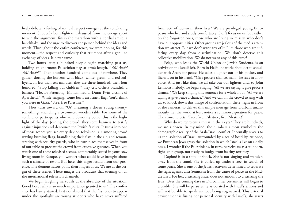lively debate, a feeling of mutual respect emerges at the concluding moment. Suddenly both fighters, exhausted from the energy spent to win the argument, finish the marathon with a cordial smile, a handshake, and the urge to discover the person behind the ideas and words. Throughout the entire conference, we were hoping for this moment—the respect and curiosity that triumphs after a genuine exchange of ideas. It never came.

Two hours later, a hundred people begin marching past us, holding an enormous Palestinian flag at arm's length. *"Ya'il Allah! Ya'il Allah!"* Then another hundred come out of nowhere. They gather, dotting the horizon with black, white, green, and red kaffiyehs. In less than ten minutes, they are three hundred, then four hundred. "Stop killing our children," they cry. Others brandish a banner: "Hector Petersong, Mohammed al-Dura: Twin victims of Apartheid." While singing, some burn an Israeli flag. You'd think you were in Gaza. "Free, free Palestine!"

They turn toward us. "Us" meaning a dozen young twentysomethings encircling a two-meter wooden table! For some of the conference participants who were obviously bored, this is the highlight of the day. Joining the crowd, they seize banners to testify against injustice and denounce the Jewish fascists. It turns into one of those scenes you see every day on television: a clamoring crowd waving burning flags, brandishing their fists in the air, and remonstrating with security guards, who in turn place themselves in front of our table to prevent the crowd from excessive gestures. When you watch one of these televised scenes, comfortably seated in your cozy living room in Europe, you wonder what could have brought about such a climate of revolt. But here, this anger results from our presence. The demonstrators point their fingers at us. We are at the ori<sup>g</sup>in of these scenes. These images are broadcast that evening on all the international television channels.

We begin laughing nervously at the absurdity of the situation. Good Lord, why is so much importance granted to us? The conference has barely started. Is it not absurd that the first ones to appear under the spotlight are young students who have never suffered

from acts of racism in their lives? We are privileged young Europeans who live and study comfortably! Don't focus on us, but rather on the forgotten ones, those who are living in misery, who don't have our opportunities. Other groups are jealous of the media attention we attract. But we don't want any of it! Film those who are suffering every day from discrimination. We don't deserve this collective mobilization. We do not want any of this fame!

Peleg, who leads the World Union of Jewish Students, is an activist on the Israeli left. Born in Haifa, he works shoulder to shoulder with Arabs for peace. He takes a lighter out of his pocket, and flicks it on in his hand. "Give peace a chance, man," he says in a low voice. And just like that, we all take out our lighters and, to John Lennon's melody, we begin singing: "All we are saying is give peace a chance." We keep singing this sentence for a whole hour. "All we are saying is give peace a chance." And we call on the crowd to sing with us, to knock down this image of confrontation, there, right in front of the cameras, to deliver this simple message from Durban, unanimously. Let the world at least notice a common aspiration for peace. The crowd retorts: "Free, free, Palestine, free Palestine!"

Why do we represent a threat in their eyes? They are hundreds, we are a dozen. In my mind, the numbers almost symbolize the demographic reality of the Arab-Israeli conflict. It brutally reveals to us the isolation of Israel, surrounded by a sea of hostility. At once, we European Jews grasp the isolation in which Israelis live on a daily basis. I wonder if the Palestinians, in turn, perceive us as a stubborn, tight-knit group, not ready to budge from its tiny territory.

Daphné is in a state of shock. She is not singing and wanders away from the stand. She is curled up under a tree, in search of some peace. She is one of the Jewish activists determined to separate the fight against anti-Semitism from the cause of peace in the Middle East. For her, criticizing Israel does not amount to criticizing the Jews. Over the coming days in Durban, her certainties will begin to crumble. She will be persistently associated with Israel's actions and will not be able to speak without being stigmatized. This external environment is fusing her personal identity with Israel's; she starts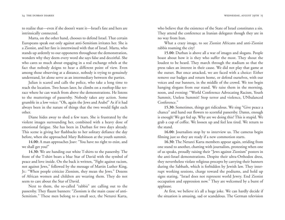to realize that—even if she doesn't want it—Israel's fate and hers are intrinsically connected.

Marta, on the other hand, chooses to defend Israel. That certain Europeans speak out only against anti-Semitism irritates her. She is a Zionist, and her fate is intertwined with that of Israel. Marta, who stands up ardently to our opponents throughout the demonstration, wonders why they deem every word she says false and deceitful. She who cares so much about engaging in a real exchange rebels at the fact that nobody deigns to hear a different point of view. Even among those observing at a distance, nobody is trying to genuinely understand, let alone serve as an intermediary between the parties.

Julian is scared and calls the police, who take a long time to reach the location. Two hours later, he climbs on a rooftop-like terrace where he can watch from above the demonstrations. He listens to the mutterings of passersby. Nobody takes any action. Some grumble in a low voice: "Oh, again the Jews and Arabs!" As if it had always been in the nature of things that the two would fight each other.

Diane hides away to shed a few tears. She is frustrated by the violent images surrounding her, combined with a heavy dose of emotional fatigue. She has been in Durban for two days already. This scene is giving her flashbacks to her solitary defiance the day before, when she approached Mary Robinson at the youth summit.

**14.00:** A man approaches Joav: "You have no right to exist, and we shall get you!"

**14.30:** We are handing out white T-shirts to the passersby. The front of the T-shirt bears a blue Star of David with the symbol of peace and love inside. On the back is written, "Fight against racism, not against Jews," followed by the message of Martin Luther King, Jr.: "When people criticize Zionism, they mean the Jews." Dozens of African women and children are wearing them. They do not seem to care about the Star of David.

Next to them, the so-called "rabbis" are calling out to the passersby. They flaunt banners: "Zionism is the main cause of anti-Semitism." These men belong to a small sect, the Neturei Karta,

who believe that the existence of the State of Israel constitutes a sin. They attend the conference as Iranian delegates though they are in no way from Iran.

What a crazy image, to see Zionist Africans and anti-Zionist rabbis roaming the city!

**15.00:** Durban is above all a war of images and slogans. People boast about how it is they who suffer the most. They shout the loudest to be heard. They march through the stadium so that the press takes an interest in their cause. We did not play that game at the outset. But once attacked, we are faced with a choice: Either remove our badges and return home, or defend ourselves, with our voices and our banners, in the middle of the crowd. We too begin hanging slogans from our stand. We raise them in the morning, noon, and evening: "World Conference Advocating Racism, Youth Summit, Useless Summit! Stop terror and violence, UNbalanced Conference."

**15.30:** Sometimes, things get ridiculous. We sing "Give peace a chance" and hand out flowers to scornful passersby. Damn, enough is enough! We get fed up. Why are we doing this? This is stupid. We grab a cup of coffee. We loosen up and feel less tired. We return to the stand.

**16.00:** Journalists stop by to interview us. The cameras begin filming just so they are ready if a new commotion starts.

**16.30:** The Neturei Karta members appear again, striding from one stand to another, chatting with journalists, protesting when one of us speaks, proudly raising their "Jews against Zionism" posters in the anti-Israel demonstrations. Despite their ultra-Orthodox dress, they nevertheless violate religious precepts by carrying their banners during the Sabbath, which is forbidden by Jewish law. They interrupt working sessions, charge toward the podiums, and hold up signs stating, "Israel does not represent world Jewry. End Zionist occupation and oppression now." They are welcomed by a burst of applause.

At first, we believe it's all a huge joke. We can hardly decide if the situation is amusing, sad or scandalous. The German television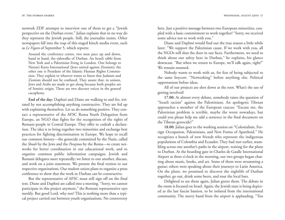network ZDF attempts to interview one of them to get a "Jewish perspective on the Durban event." Julian explains that in no way do they represent the Jewish people. Still, the journalist insists. Other newspapers fall into the trap of this staged kitsch media event, such as *Le Figaro* of September 5, which reports:

Around the conference centre, two men pace up and down, hand in hand, the sidewalks of Durban. An Israeli rabbi from New York and a Palestinian living in London. One belongs to Neturei Karta International (Jews united against Zionism); the other one is President of the Islamic Human Rights Commission. They explain to whoever wants to listen that Judaism and Zionism should not be confused. They assure that, in unison, Jews and Arabs are made to get along because both peoples are of Semitic origin. These are two discreet voices in the general cacophony.

**End of the day:** Daphné and Diane are walking to and fro, irritated by not accomplishing anything constructive. They are fed up with explaining themselves. Let us do something positive. They contact a representative of the AFSC Roma Youth Delegation from Europe, an NGO that fights for the recognition of the rights of Romani people in Central Europe. They offer to codraft a declaration. The idea is to bring together two minorities and exchange best practices for fighting discrimination in Europe. We hope to recall our common history—the genocide committed by the Nazis, called the *Shoah* by the Jews and the *Porajmos* by the Roma—to create networks for better coordination in our educational work, and to organize common public information campaigns. Jewish and Romani delegates meet repeatedly; we listen to one another, discuss, and work on a joint statement. We present the final version to our respective organizations. Our student union plans to organize a press conference to show that the work in Durban can be constructive.

But the representative of AFSC must still sign off on the final text. Diane and Daphné are called into a meeting. "Sorry, we cannot participate in this project anymore," the Romani representative says meekly. But good Lord, why not? This is nothing more than a typical project carried out between youth organizations. No controversy

here. Just a positive message between two European minorities, cou<sup>p</sup>led with a basic commitment to work together! "Sorry, we received some advice not to work with you."

Diane and Daphné would find out the true reason a little while later: "We support the Palestinian cause. If we work with you, all the NGOs will shut the door in our faces. Furthermore, we need to think about our safety here in Durban," he explains, his glance downcast. "But when we return to Europe, we'll talk again, right?" We remain stunned.

Nobody wants to work with us, for fear of being subjected to the same boycott. "Networking" before anything else. Political opportunism before ideas.

All of our projects are shot down at the root. What's the use of getting involved?

**17.00:** At almost every debate, somebody raises the question of "Israeli racism" against the Palestinians. An apologetic Tibetan approaches a member of the European caucus: "Excuse me, the Palestinian problem is terrible, maybe the worst nowadays, but could you please help me add a sentence in the final document on the Tibetan genocide?"

**18.00:** Julian goes to the working session on "Colonialism, Foreign Occupation, Palestinians, and New Forms of Apartheid." He recognizes a bunch of new friends who represent the indigenous populations of Colombia and Ecuador. They had met earlier, stumbling across one another's paths in the airport, waiting for the plane to Durban. At the boarding gate in Charles de Gaulle International Airport at three o'clock in the morning, our two groups began chatting about music, books, and art. Some of them were strumming a guitar; others were speaking about their journeys to Latin America. On the plane, we promised to discover the nightlife of Durban together, go out, drink some beers, and tour the local bars.

Delighted to see them again, Julian greets them. The debate in the room is focused on Israel. Again, the Jewish state is being depicted as the last fascist bastion, to be isolated from the international community. The merry band from the airport is applauding. "Too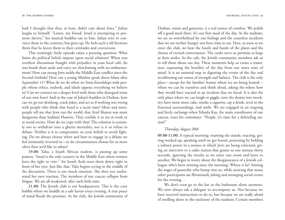bad! I thought that they, at least, didn't care about Jews," Julian laughs to himself. "Listen, my friend, Israel is attempting to promote slavery," his musical buddies say to him. Julian tries to convince them to the contrary, but gives up. He feels such a rift between them that he leaves them to their certitudes and convictions.

This seemingly futile episode raises a pressing question: What limits do political beliefs impose upon social relations? When you overhear discussions fraught with prejudice in your local café, do you brush them aside and carry on chitchatting with no embarrassment? How can young Jews tackle the Middle East conflict since the Second Intifada? How can a young Muslim speak about Islam after September 11? What do we do when we form friendships with peo<sup>p</sup>le whose ethics, outlook, and ideals oppose everything we believe in? Can we connect on a deeper level with those who disregard some of our own fears? And in the case of Julian's buddies in Durban, how can we go out drinking, crack jokes, and act as if nothing was wrong with people who think that Israel is a racist state? More and more, people tell me that Jews run the world, that Ariel Sharon was more dangerous than Saddam Hussein. They confide it to me at work or at social events. How do we cope with that? The solution is certainly not to withdraw into a ghetto mentality, nor is it to refuse to debate. Neither is it to compromise on your beliefs to avoid fighting. Do we always choose when and how to engage in a debate we feel intimately invested in—or do circumstances choose for us more often then we'd like to admit?

**19.00:** Talia, a South African student, is pasting up some posters: "Israel is the only country in the Middle East where women have the right to vote." An Israeli Arab tears them down right in front of her eyes. Just like that. Talia begins crying in the middle of the discussion. There is too much emotion. She does not understand her own reaction. The members of our caucus collapse from fatigue. We are all weakened, after such little time.

**21.00:** The Jewish club is our headquarters. This is the cozy bubble where we huddle in a safe haven every evening. A true peace of mind floods the premises. At the club, the Jewish community of Durban, warm and generous, is a real source of comfort. We polish off a good meal there. It's our first meal of the day. At the stadium, we are so overwhelmed by our feelings and the countless incidents that we are neither hungry nor have time to eat. Here, as soon as we enter the club, we hear the hustle and bustle of the plates and the chorus of excited conversation. The cooks serve us portions as large as their smiles. In the cafe, the Jewish community members ask us to tell them about our day. These moments help us create a transition, separating the hostility of the day from our inner state of mind. It is an essential step in digesting the events of the day and recalibrating our senses of strength and balance. The club is the only <sup>p</sup>lace—except for the families' homes where we are being hosted where we can be ourselves and think aloud, asking the others how they would have reacted to an incident that we faced. It is also the only place where we can laugh or giggle, turn the drama into mockery, have some more cake, smoke a cigarette, sip a drink, revel in the fraternal surroundings, and smile. We are engaged in an ongoing and lively exchange when Yehuda Kay, the main coordinator of our caucus, roars his customary: "People, it's time for a debriefing session!"

#### *Thursday, August 30th*

**09.00-11.00:** A typical morning: roaming the stands, reacting, getting worked up, speaking until we get booed, protesting by holding a solitary poster in a session in which Jews are being criticized, giving an interview to a radio station that grants us one minute thirty seconds, ignoring the insults as we enter one room and leave to another. We begin to worry about the disappearance of a Jewish colleague who's been missing since the morning. Where is he? Sensing the anger of passersby who bump into us, while noticing that many other participants are flirtatiously joking and arranging social events for the evening…

We don't even go to the bar or the bathroom alone anymore. We now always ask a delegate to accompany us. Not because we have received instructions to do so, but because we are really afraid of strolling alone in the enclosure of the stadium. Certain members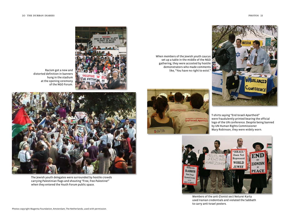



When members of the Jewish youth caucus set up a table in the middle of the NGO gathering, they were accosted by hostile demonstrators who made comments like, "You have no right to exist."



T-shirts saying "End Israeli Apartheid" were fraudulently printed bearing the official logo of the UN conference. Despite being banned by UN Human Rights Commissioner Mary Robinson, they were widely worn.



Members of the anti-Zionist sect Neturei Karta used Iranian credentials and violated the Sabbath to carry anti-Israel posters.



Racism got a new and distorted definition in banners hung in the stadium at the opening ceremony of the NGO Forum.



The Jewish youth delegates were surrounded by hostile crowds carrying Palestinian flags and shouting "Free, free Palestine!" when they entered the Youth Forum public space.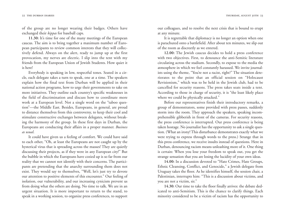of the group are no longer wearing their badges. Others have exchanged their *kippas* for baseball caps.

**11.30:** It's time for one of the many meetings of the European caucus. The aim is to bring together a maximum number of European participants to review common interests that they will collectively defend. Always on the alert, ready to jump up at the first provocation, my nerves are electric. I slip into the tent with my friends from the European Union of Jewish Students. How quiet it is here!

Everybody is speaking in low, respectful tones. Seated in a circle, each delegate takes a turn to speak, one at a time. The speakers explain how the final text from Durban will be applied in their national action programs, how to urge their governments to take on more initiatives. They outline each country's specific weaknesses in the field of discrimination and discuss how to coordinate more work at a European level. Not a single word on the "taboo question"—the Middle East. Besides, Europeans, in general, are proud to distance themselves from this controversy, to keep their cool and stimulate constructive exchanges between delegates, without breaking the harmony of the group. In these first days in Durban, the Europeans are conducting their affairs in a proper manner. *Business as usual*.

It could have given us a feeling of comfort. We could have said to each other, "Oh, at least the Europeans are not caught up by the hysterical virus that is spreading across the masses! They are quietly discussing their projects, as if they were in any European city!" But the bubble in which the Europeans have cozied up is so far from our reality that we cannot not identify with their concerns. The participants are pretending that the anarchy surrounding them does not exist. They would say to themselves, "Well, let's just try to devote our attention to positive elements of this encounter." Our feeling of isolation, our vulnerability, and our increasing cynicism prevent us from doing what the others are doing. No time to talk. We are in an urgent situation. It is more important to return to the stand, to speak in a working session, to organize press conferences, to support

our colleagues, and to resolve the next crisis that is bound to erupt at any minute.

It is regrettable that diplomacy is no longer an option when one is parachuted onto a battlefield. After about ten minutes, we slip out of the room as discreetly as we entered.

**12.00:** The Jewish caucus decides to hold a press conference with two objectives. First, to denounce the anti-Semitic literature circulating across the stadium. Secondly, to expose to the media the atmosphere in which we feel constantly harassed. We invite journalists using the theme, "You're not a racist, right?" The situation deteriorates to the point that an official session on "Holocaust Revisionism," which was to be held in the Jewish club, had to be cancelled for security reasons. The press takes seats inside a tent. According to those in charge of security, it is "the least likely place where we could be physically attacked."

Before our representatives finish their introductory remarks, a group of demonstrators, some provided with press passes, suddenly storm into the room. They approach the speakers, speaking incomprehensible gibberish in front of the cameras. For security reasons, the press conference is interrupted. Our press conference is being taken hostage. No journalist has the opportunity to ask a single question. (What an irony! This disturbance demonstrates exactly what we were trying to express through words to the press.) Strange that in this press conference, we receive insults instead of questions. Here in Durban, denouncing racism means unleashing more of it. One thing is certain: When you lose your freedom to speak out, you get the strange sensation that you are losing the lucidity of your own ideas.

**14.00:** In a discussion devoted to "Hate Crimes, Hate Groups, Ethnic Cleansing, Conflict, and Genocide," a Jewish delegate from Uruguay takes the floor. As he identifies himself, the session chair, a Palestinian, interrupts him: "This is a discussion about victims, and you are not a victim, sir."

**14.30:** Our time to take the floor finally arrives: the debate dedicated to anti-Semitism. This is the chance to clarify things. Each minority considered to be a victim of racism has the opportunity to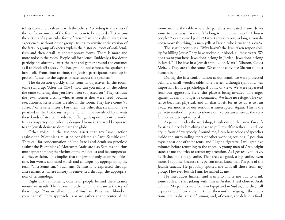tell its story and to share it with the others. According to the rules of the conference—one of the few that seem to be applied effectively the victims of a particular form of racism have the right to share their experiences without other groups trying to rewrite their version of the facts. A group of experts explain the historical roots of anti-Semitism and then detail its contemporary forms. There is more and more noise in the room. People call for silence. Suddenly a few dozen participants abruptly enter the tent and gather around the entrance as if to block off access. The background noise forces the speakers to break off. From time to time, the Jewish participants stand up in protest: "Listen to the experts! Please respect the speakers!"

The discussion quickly shifts from its objectives. In the room, some stand up: "After the *Shoah*, how can you inflict on the others the same suffering that you have been subjected to?" They criticize the Jews, former victims who, as soon as they were freed, became executioners. Revisionists are also in the room. They have come "to correct" or rewrite history. For them, the belief that six million Jews perished in the Holocaust is pure fiction. The Jewish lobby invents these kinds of stories in order to inflict guilt upon the entire world. It is a conspiracy meticulously designed to make the world acquiesce to the Jewish desire to dominate the globe.

Other voices in the audience assert that any Israeli action against the Palestinians must be considered an "anti-Semitic act." They call for condemnation of "the Israeli anti-Semitism practiced against the Palestinians." Moreover, Arabs are also Semites and thus must appear among the victims of the Holocaust and be compensated, they exclaim. This implies that the Jew not only colonized Palestine, but worse, colonized words and concepts, by appropriating the term "anti-Semitism." Such anti-Semitism is expressed through anti-semantics, where history is reinvented through the appropriation of terminology.

Right at this moment, dozens of people behind the entrance mount an assault. They storm into the tent and scream at the top of their lungs: "You are all murderers! You have Palestinian blood on your hands!" They approach us as we gather at the center of the

room around the table where the panelists are seated. Panic drives some to run away. "You don't belong to the human race!" "Chosen people? You are cursed people! I won't speak to you, as long as you do not remove this thing," a man yells at David, who is wearing a *kippa*.

The assault continues. "Why haven't the Jews taken responsibility for killing Jesus? They have sucked our blood, all these years. We don't want you here. Jews don't belong in Jordan. Jews don't belong in Israel." "I believe in a Jewish state … on Mars!" "Sharon, Golda Meir.… They are all the same. We cannot convince Sharon to be a human being."

During the first confrontation at our stand, we were protected behind a small wooden table. The barrier, although symbolic, was important from a psychological point of view: We were separated from our aggressors. Here, this place is being invaded. The anger against us can no longer be contained. We have no refuge. The violence becomes physical, and all that is left for us to do is to run away. Yet another of our sessions is interrupted. Again. This is the de facto method in place to silence our voices anywhere at the conference we attempt to speak.

As panic invades the workshop, I rush out on the lawn. I'm suffocating. I need a breathing space to pull myself together … and not cry in front of everybody. Around me, I can hear echoes of speeches inside the surrounding tents of other working sessions. I position myself near one of these tents, and I light a cigarette. I will grab five minutes before returning to the chaos. A young man of Arab origin stares at me and tries to attract my attention. As I get ready to leave, he flashes me a huge smile. That feels so good, a big smile. Even more, I suppose, because this person must know that I'm part of the Jewish caucus. He probably spotted me with all those from my group. However Jewish I am, he smiled at me!

He introduces himself and wants to invite me out to drink some coffee. I start joking with him in Arabic. I feel close to Arab culture. My parents were born in Egypt and in Sudan, and they still express the culture they nurtured there—the language, the traditions, the Arabic sense of humor, and, of course, the delicious food.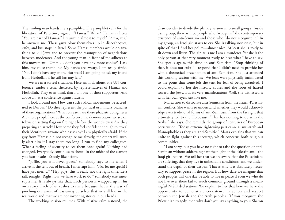The smiling man hands me a pamphlet. The pamphlet calls for the liberation of Palestine, signed: "Hamas." What? Hamas is here? "You are part of Hamas?" I murmur, almost to myself. "*Aiwa*, yes," he answers me. These guys blow themselves up in discotheques, cafes, and bus stops in Israel. Some Hamas members would do anything to kill Jews and to prevent the resumption of negotiations between moderates. And the young man in front of me adheres to this movement. "Umm … don't you have any more copies?" I ask him, my voice trembling. My hands are sweaty. I am really afraid. "No, I don't have any more. But wait! I am going to ask my friend from Hezbollah if he still has any left."

We are in a surreal situation. Here am I, all alone, at a UN conference, under a tent, sheltered by representatives of Hamas and Hezbollah. They even think that I am one of their supporters. And above all, at a conference against racism!

I look around me. How can such radical movements be accredited to Durban? Do they represent the political or military branches of these organizations? What on earth are these jihadists doing here? Are these people here at the conference the demonstrators we see on television setting flags on fire right before the world's eyes? Are they preparing an attack? How come they feel confident enough to reveal their identity to anyone who passes by? I am physically afraid. If the guy from Hamas did not recognize me already, the others will surely alert him if I stay there too long. I run to find my colleagues. What a feeling of security to see them once again! Nothing had changed. Everybody continues to shout. In the midst of the clamor, you hear insults. Exactly like before.

"Joëlle, you will never guess," somebody says to me when I arrive in the tent out of breath. I interrupt him: "No, let me speak! I have just met...." "Hey guys, this is really not the right time. Let's talk tonight. Right now we have work to do," somebody else interrupts me. It is always like that. Each person is wrapped up in his own story. Each of us rushes to share because that is the way of <sup>p</sup>inching our arms, of reassuring ourselves that we still live in the real world and that we are not inventing stories in our heads.

The working session resumes. With relative calm restored, the

chair decides to divide the plenary session into small groups. Inside each group, there will be people who "recognize" the contemporary existence of anti-Semitism and those who "do not recognize it." In my group, an Iraqi girl starts to cry. She is talking nonsense, but in spite of that I find her polite—almost nice. At least she is ready to sit down and listen. The girl tells me I am a murderer. Yet she is the only person at that very moment ready to hear what I have to say. She speaks again, this time on anti-Semitism: "Stop thinking of that, it does not exist." I respond that I didn't need to provide her with a theoretical presentation of anti-Semitism. She just attended this working session with me. We Jews were physically intimidated to the point that some left the tent for fear of being assaulted. I could explain to her the historic causes and the roots of hatred toward the Jews. But its very manifestation? Well, she witnessed it with her own eyes, just like me.

Marta tries to dissociate anti-Semitism from the Israeli-Palestinian conflict. She wants to understand whether they would acknowledge even traditional forms of anti-Semitism from the far right that ultimately led to the Holocaust. "This has nothing to do with the Arabs," she says. She reminds the group of centuries of European persecution. "Today, extreme right-wing parties are as anti-Arab and Islamophobic as they are anti-Semitic." Marta explains that we can unite to fight against this scourge, which concerns both religious communities.

"I am sorry, but you have no right to raise the question of anti-Semitism without addressing first the plight of the Palestinians," the Iraqi girl retorts. We tell her that we are aware that the Palestinians are suffering, that they live in unbearable conditions, and we understand the depth of their despair. That is why it is absolutely necessary to support peace in the region. But how dare we imagine that both peoples will one day be able to live in peace if even we who do not live over there fail to reach common ground through a meaningful NGO declaration? We explain to her that here we have the opportunity to demonstrate coexistence in action and respect between the Jewish and the Arab peoples. "If you recognize the Palestinian tragedy, then why don't you say anything to your Sharon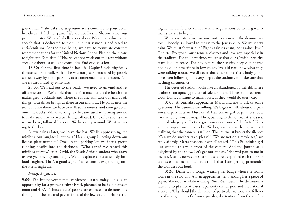government?" she asks us, as genuine tears continue to pour down her cheeks. I feel her pain. "We are not Israeli. Sharon is not our prime minister. We shall gladly speak about Palestinians during the speech that is dedicated to them. But this session is dedicated to anti-Semitism. For the time being, we have to formulate concrete recommendations for the United Nations Action Plan on the means to fight anti-Semitism." "No, we cannot work out this text without speaking about Israel," she concludes. End of discussion.

**18.30:** For the first time in her life, Daphné feels physically threatened. She realizes that she was not just surrounded by people carried away by their passions at a conference one afternoon. No, she is surrounded by extremists.

**23.00:** We head out to the beach. We need to unwind and let off some steam. We're told that there's a nice bar on the beach that makes great cocktails and where the music will take our minds off things. Our driver brings us there in our minibus. He parks near the sea, but once there, we have to walk some meters, and then go down onto the docks. While walking, we became used to turning around to make sure that we weren't being followed. One of us shouts that we are being followed by a car. We become paranoid. We start rac ing to the bar. 28 THE DURBAN DIARIES<br>
28 THE DURBAN USE and general certains continue to pour down<br>
ther checks. I feel her pain. "We are not Israelic Sharon is not our<br>
pipeech that is dedicated to then. But this session is dedicated t

A few drinks later, we leave the bar. While approaching the minibus, our laughter is cut by a "Hey, a group is jotting down our license plate number!" Once in the parking lot, we hear a group running hastily into the darkness. "Who cares? We rented this minibus anyway," cries David, the South African student who drove us everywhere, day and night. We all explode simultaneously into loud laughter. That's a good sign. The tension is evaporating into the warm night air.

#### *Friday, August 31st*

**9.00:** The intergovernmental conference starts today. This is an opportunity for a protest against Israel, planned to be held between noon and 4 P.M. Thousands of people are expected to demonstrate ing at the conference center, where negotiations between governments are set to begin.

We receive strict instructions not to approach the demonstrators. Nobody is allowed to return to the Jewish club. We must stay calm. We mustn't wear our "Fight against racism, not against Jews" T-shirts. Everyone must remain discreet and low-key, especially in the stadium. For the first time, we sense that our (Jewish) security team is quite tense. The day before, the security people in charge had held long meetings in low voices. We did not know what they were talking about. We discover that since our arrival, bodyguards have been following our every step at the stadium, to make sure that nothing threatens us.

The deserted stadium looks like an abandoned battlefield. There is almost an apocalyptic air of silence there. Three hundred tenacious Dalits continue to march past, as they would do every day.

**10.00:** A journalist approaches Marta and me to ask us some questions. The cameras are rolling. We begin to talk about our personal experiences in Durban. A Palestinian girl begins to shout: "You're lying, you're lying." Then, turning to the journalist, she says, with pleading eyes: "Let me give you my version of the facts." Tears are pouring down her cheeks. We begin to talk with her, without realizing that the camera is still on. The journalist breaks the silence: "Can we do another take, please?" "We are not on a movie set," we reply sharply. Marta suspects it was all staged. "This Palestinian girl just wanted to cry in front of the camera. And the journalist is delighted by the show. Let's get out of here," she whispers to me in my ear. Marta's nerves are sparking; she feels exploited each time she addresses the media. "Do you think that I am getting paranoid?" she wonders out loud.

**10.30:** Diane is no longer wearing her badge when she roams alone in the stadium. A man approaches her, handing her a piece of paper. She reads it while walking: "Anti-Semitism is by definition a racist concept since it bases superiority on religion and the national scene…. Why should the demands of particular nationals or followers of a religion benefit from a privileged attention from the confer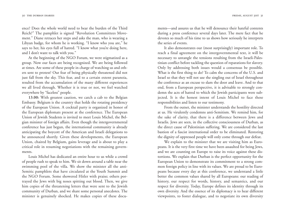ence? Does the whole world need to bear the burden of the Third Reich?" The pamphlet is signed "Revolution Committees Movement." Diane retraces her steps and asks the man, who is wearing a Libyan badge, for whom he is working. "I know who you are," he says to her, his eyes full of hatred. "I know what you're doing here, and I don't want to talk with you."

At the beginning of the NGO Forum, we were stigmatized as a group. Now our faces are being recognized. We are being followed at times. Are some of these people in charge of watching us and others sent to protest? Our fear of being physically threatened did not just fall from the sky. This fear, and to a certain extent paranoia, resulted from the accumulation of the many different experiences we all lived through. Whether it is true or not, we feel watched everywhere by "faceless" people.

**13.00:** With greatest caution, we catch a cab to the Belgian Embassy. Belgium is the country that holds the rotating presidency of the European Union. A cocktail party is organized in honor of the European diplomats present at the conference. The European Union of Jewish Students is invited to meet Louis Michel, the Bel<sup>g</sup>ian minister of foreign affairs. Even though the intergovernmental conference has just begun, the international community is already anticipating the boycott of the American and Israeli delegations to be announced shortly. Given these developments, the European Union, chaired by Belgium, gains leverage and is about to play a critical role in resuming negotiations with the remaining governments.

Louis Michel has dedicated an entire hour to us while a crowd of people rush to speak to him. We sit down around a table near the swimming pool of the villa. We show the minister all the anti-Semitic pamphlets that have circulated at the Youth Summit and the NGO Forum. Some showered Hitler with praise; others portrayed the Jews with big noses spitting out blood. Then, we give him copies of the threatening letters that were sent to the Jewish community of Durban, and we share some personal anecdotes. The minister is genuinely shocked. He makes copies of these docu-

ments—and assures us that he will denounce their hateful contents during a press conference several days later. The mere fact that he devotes so much of his time to us shows how seriously he interprets the series of events.

It also demonstrates our (most surprisingly) important role. To reach a final agreement on the intergovernmental text, it will be necessary to untangle the tensions resulting from the Israeli-Palestinian conflict before tackling the question of reparations for slavery. Only by addressing both issues would a consensus be possible. What is the first thing to do? To calm the concerns of the U.S. and Israel so that they will not use the singling out of Israel throughout the conference as an excuse to slam the door and leave. And to that end, from a European perspective, it is advisable to strongly condemn the acts of hatred to which the Jewish participants were subjected. It is the honest intent of Louis Michel to face these responsibilities and listen to our testimony.

From the outset, the minister understands the hostility directed at us. He virulently condemns anti-Semitism. We remind him, for the sake of clarity, that there is a difference between Jews and Israelis. Jews are seen, in the collective consciousness of Durban, as the direct cause of Palestinian suffering. We are considered the last bastion of a fascist international order to be eliminated. Restoring the dignity of oppressed people will only come through our defeat.

We explain to the minister that we are visiting him as Europeans. It is the very first time we have been assaulted for being Jews, and we are counting on Europe to raise its voice against these distortions. We explain that Durban is the perfect opportunity for the European Union to demonstrate its commitment to a strong common foreign policy in line with its values. We are proud to be Europeans because every day at this conference, we understand a little better the common values shared by all Europeans: our reading of history, our respect for words, history, and semantics, and our respect for diversity. Today, Europe defines its identity through its own diversity. And the essence of its diplomacy is to hear different viewpoints, to foster dialogue, and to negotiate its own diversity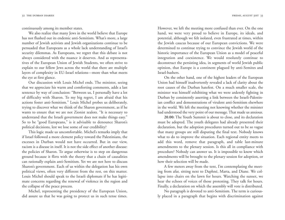continuously among its member states.

We also realize that many Jews in the world believe that Europe has not flushed out its endemic anti-Semitism. What's more, a large number of Jewish activists and Jewish organizations continue to be persuaded that Europeans as a whole lack understanding of Israel's security dilemmas. As Europeans, we regret that this debate is not always considered with the nuance it deserves. And as representatives of the European Union of Jewish Students, we often strive to explain to our fellow Jews across the world that there are multiple layers of complexity in EU-Israel relations—more than what meets the eye at first glance.

Our discussion with Louis Michel ends. The minister, seeing that we appreciate his warm and comforting comments, adds a last sentence by way of conclusion: "Between us, I personally have a lot of difficulty with Sharon. To my big regret, I am afraid that his actions foster anti-Semitism." Louis Michel probes us deliberately, trying to discover what we think of the Sharon government, as if he wants to ensure that we are not Zionist zealots. "It is necessary to understand that the Israeli government does not make things easy." So to be "good Europeans," is it advisable to denounce Sharon's political decisions, lest we lose some of our credibility?

This logic made us uncomfortable. Michel's remarks imply that if Israel followed a more clement policy toward the Palestinians, the excesses in Durban would not have occurred. But in our view, racism is a disease in itself. It is not the side effect of another disease: the policies of Sharon. To argue otherwise is to step on dangerous ground because it flirts with the theory that a chain of causalities can rationally explain anti-Semitism. Yet we are not here to discuss Sharon's government. Each of us within the delegation has his own political views, often very different from the rest, on this matter. Louis Michel should speak to the Israeli diplomats if he has legitimate concerns regarding the renewal of violence in the region and the collapse of the peace process.

Michel, representing the presidency of the European Union, did assure us that he was going to protect us in such tense times. However, we left the meeting more confused than ever. On the one hand, we were very proud to believe in Europe, its ideals, and potential, although we felt isolated, even frustrated at times, within the Jewish caucus because of our European convictions. We were determined to continue trying to convince the Jewish world of the historic importance of the European Union as a model of peaceful integration and coexistence. We would resolutely continue to deconstruct the persisting idea, in segments of world Jewish public opinion, that Europe is a continent plagued by anti-Semites and Israel-bashers.

On the other hand, one of the highest leaders of the European Union had himself inadvertently revealed a lack of clarity about the root causes of the Durban hatefest. On a much smaller scale, the minister was himself exhibiting what we were ardently fighting in Durban by consistently asserting a link between the Israeli-Palestinian conflict and demonstrations of virulent anti-Semitism elsewhere in the world. We left the meeting not knowing whether the minister had understood the very point of our message. That made us anxious.

**20.00:** The Youth Summit is about to close, and its declaration must be adopted. The youth delegates had already presented their declaration, but the adoption procedures turned out to be so vague that many groups are still disputing the final text. Nobody knows what to do to improve the situation. Each regional entity meets to add this word, remove that paragraph, and table last-minute amendments to the plenary session. Is this all in compliance with procedure? Nobody can answer us. It is impossible to know which amendments will be brought to the plenary session for adoption, or how their selection will be made.

A few meters away from the tent, I'm contemplating the meeting from afar, sitting next to Daphné, Marta, and Diane. We collapse into chairs on the lawn for hours. Watching the sunset, we hear the echoes of voices of those protesting. They talk for hours. Finally, a declaration on which the assembly will vote is distributed.

No paragraph is devoted to anti-Semitism. The term is curiously placed in a paragraph that begins with discrimination against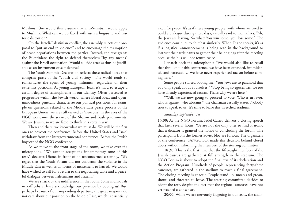Muslims. One would thus assume that anti-Semitism would apply to Muslims. What can we do faced with such a linguistic and his toric distortion?

On the Israeli-Palestinian conflict, the assembly rejects our pro posal to "put an end to violence" and to encourage the resumption of peace negotiations between the parties. Instead, the text grants the Palestinians the right to defend themselves "by any means" against the Israeli occupation. Would suicide attacks thus be justifi able as an instrument of self-defense?

The Youth Summit Declaration reflects these radical ideas that comprise parts of the "youth civil society." The world tends to romanticize the spirit of young militants—regardless of their extremist positions. As young European Jews, it's hard to escape a certain degree of schizophrenia in our identity. Often perceived as progressive within the Jewish world, where liberal ideas and open mindedness generally characterize our political positions, for exam ple on questions related to the Middle East peace process or the European Union, we are still viewed as "neocons" in the eyes of the NGO world—at the service of the Sharon and Bush governments. We are Jewish, so we are fated to think in a certain way. Then and there, we know what we must do. We will be the first 34 THE bURANN DIRAIRS<br>
Muslims. One would thus assume that anti-Semitism would apply<br>
to Muslims. What can we do faced with such a linguistic and his-<br>
toric distortion?<br>
CD the krateli-Palestinian conflict, the assembly r

ones to boycott the conference. Before the United States and Israel withdraw from the intergovernmental conference. Before the Jewish boycott of the NGO conference. As we move to the front stage of the room, we take over the

microphone. "We cannot accept the inflammatory tone of this text," declares Diane, in front of an unconcerned assembly. "We regret that the Youth Forum did not condemn the violence in the Middle East as well as all forms of incitement to hatred. We would have wished to call for a return to the negotiating table and a peace ful dialogue between Palestinians and Israelis."

We are struck by the indifference in the room. Some individuals in kaffiyehs at least acknowledge our presence by booing us! But, perhaps because of our impending departure, the great majority do

a call for peace. It's as if these young people, with whom we tried to build a dialogue during these days, casually said to themselves, "Ah, the Jews are leaving. So what! You win some, you lose some." The audience continues to chitchat aimlessly. When Diane speaks, it's as if a logistical announcement is being read in the background to instruct the participants to gather their belongings after the meeting because the bus will not return twice.

I snatch back the microphone: "We would also like to recall that throughout this conference, we have been offended, intimidated, and harassed.… We have never experienced racism before coming here."

Some people started booing me. "You Jews are so paranoid that you only speak about yourselves." "Stop being so egocentric; we too have already experienced racism. That's why we are here!"

"Well, we are now going to proceed to vote: Who is in favor, who is against, who abstains?" the chairman casually states. Nobody tries to speak to us. It's time to leave this wretched stadium.

#### *Saturday, September 1st*

**15.00:** At the NGO Forum, Fidel Castro delivers a closing speech that lasts several hours. We are not the only ones to find it ironic that a dictator is granted the honor of concluding the forum. The participants from the former Soviet bloc are furious. The organizers of the conference, SANGOCO, made this decision behind closed doors without informing the members of the steering committee.

**18.30:** This is the first time that the fifty-eight members of the Jewish caucus are gathered at full strength in the stadium. The NGO Forum is about to adopt the final text of its declaration and the Action Program. Hundreds of people, representing forty-three caucuses, are gathered in the stadium to reach a final agreement. The closing meeting is chaotic. People stand up, moan and groan, shout, and threaten to leave. The steering committee decides to adopt the text, despite the fact that the regional caucuses have not yet reached a consensus.

**20:00:** While we are nervously fidgeting in our seats, the chair-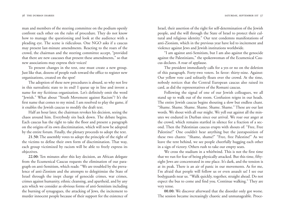man and members of the steering committee on the podium openly confront each other on the rules of procedure. They do not know how to manage the questioning and look at the audience with a <sup>p</sup>leading eye. The scene is ridiculous. One NGO asks if a caucus may present last-minute amendments. Reacting to the roars of the crowd, the chairman and the steering committee accept, "provided that there are new caucuses that present these amendments," so that new associations may express their voices!

To present changes in the text, one must create a new group. Just like that, dozens of people rush toward the office to register new organizations, created on the spot!

The adoption of these new procedures is absurd, so why not live in this surrealistic state to its end? I queue up in line and invent a name for my fictitious organization. Let's definitely omit the word "Jewish." What about "Youth Movement against Racism"? It's the first name that comes to my mind. I am resolved to play the game, if it enables the Jewish caucus to modify the draft text. Half an hour later, the chairman revokes his decision, seeing the

chaos around him. Everybody sits back down. The debate begins. Each caucus has the right to take the floor and present a paragraph on the origins of its own discrimination, which will now be adopted by the entire forum. Finally, the plenary proceeds to adopt the text.

**21.50:** The assembly votes to adopt the principle of the right of the victims to define their own form of discrimination. That way, each group victimized by racism will be able to freely express its objectives.

**22.00:** Ten minutes after this key decision, an African delegate from the Ecumenical Caucus requests the elimination of our para graph on anti-Semitism, which reads: "We are troubled by the preva lence of anti-Zionism and the attempts to delegitimize the State of Israel through the inept charge of genocide crimes, war crimes, crimes against humanity, ethnic cleansing, and apartheid, and by any acts which we consider as obvious forms of anti-Semitism including the burning of synagogues, the attacking of Jews, the incitement to 36 THE BUTMAN FOR THE SCIRC CONDIGNON TO THE SCIRC THE SCIRC THE SCIRC THE SCIRC THE SCIRC COND SARE THE STAND THE STAND THE STAND THE STAND THE STAND THE STAND THE STAND THE STAND THE STAND THE STAND THE STAND THE STAND T

Israel, their assertion of the right for self-determination of the Jewish people, and the will through the State of Israel to protect their cultural and religious identity." Our text condemns manifestations of anti-Zionism, which in the previous year have led to incitement and violence against Jews and Jewish institutions worldwide.

"I am against anti-Semitism, but I am also against the genocide against the Palestinians," the spokeswoman of the Ecumenical Caucus declares. A roar of applause.

The president immediately calls for a yes or no on the deletion of this paragraph. Forty-two voters. In favor: thirty-nine. Against: Our yellow vote card solitarily floats over the crowd. At the time, nobody notices that the Central European caucus also raised its card, as did the representatives of the Romani caucus.

Following the signal of one of our Jewish colleagues, we all stand up to walk out of the room. Confusion reigns in our heads. The entire Jewish caucus begins shouting a slow but endless chant. "Shame. Shame. Shame. Shame. Shame. Shame." These are our last words. We shout with all our might. We yell out against all the minutes we endured in Durban since our arrival. We roar our anger at the crowd, which remains startled in silence for a fraction of a second. Then the Palestinian caucus erupts with shouts of: "Free, Free Palestine!" One couldn't hear anything but the juxtaposition of these two chants: "Shame, shame!" "Free, free Palestine!" As we leave the tent behind, we see people cheerfully hugging each other in a sign of victory. Others rush to take our empty seats.

We cross the stadium in a whirlwind. This is not the first time that we run for fear of being physically attacked. But this time, fiftyeight Jews are concentrated in one place. It's dark, and the tension is at its peak. There is an air of panic in our movements. As for me, I'm afraid that people will follow us or even assault us! I see our bodyguards near us. "Walk quickly, together, straight ahead. Do not expect the bus to come and find you. Continue walking." They are very tense.

**00.00:** We discover afterward that the disorder only got worse. The session became increasingly chaotic and unmanageable. Proce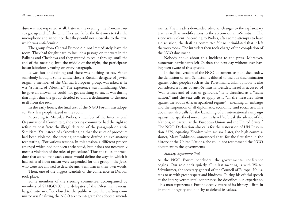dure was not respected at all. Later in the evening, the Romani caucus got up and left the tent. They would be the first ones to take the microphone and announce that they could not subscribe to the text, which was anti-Semitic.

The group from Central Europe did not immediately leave the room. They had fought hard to include a passage on the wars in the Balkans and Chechnya and they wanted to see it through until the end of the meeting. Into the middle of the night, the participants began laboriously voting on every paragraph.

It was hot and raining and there was nothing to eat. When somebody brought some sandwiches, a Russian delegate of Jewish origin, a member of the Central European group, was asked if he was "a friend of Palestine." The experience was humiliating. Until he gave an answer, he could not get anything to eat. It was during that night that the group decided to draft a declaration to distance itself from the text.

In the early hours, the final text of the NGO Forum was adopted. Very few people stayed in the room.

According to Miroslav Prokes, a member of the International Organizational Committee, the steering committee had the right to refuse ex post facto the illegal deletion of the paragraph on anti-Semitism. Yet instead of acknowledging that the rules of procedure had been violated, the steering committee drafted an explanatory text stating, "For various reasons, in this session, a different process emerged which had not been anticipated, but it does not necessarily mean a violation of the rules of procedure." Thus the rules of procedure that stated that each caucus would define the ways in which it had suffered from racism were suspended for one group—the Jews, who were not allowed to describe anti-Semitism in their own words.

Then, one of the biggest scandals of the conference in Durban took place.

Some members of the steering committee, accompanied by members of SANGOCO and delegates of the Palestinian caucus, barged into an office closed to the public where the drafting committee was finalizing the NGO text to integrate the adopted amendments. The invaders demanded editorial changes to the explanatory text, as well as modifications to the section on anti-Semitism. The scene was violent. According to Prokes, after some attempts to have a discussion, the drafting committee felt so intimidated that it left the workroom. The intruders then took charge of the completion of the NGO document.

Nobody spoke about this incident to the press. Moreover, numerous participants left Durban the next day without ever having been aware of this episode.

In the final version of the NGO document, as published today, the definition of anti-Semitism is diluted to include discrimination against other peoples such as the Palestinians. Islamophobia is also considered a form of anti-Semitism. Besides, Israel is accused of "war crimes and of acts of genocide." It is classified as a "racist nation," and the text calls to apply to it "all the measures taken against the South African apartheid regime"—meaning an embargo and the suspension of all diplomatic, economic, and social ties. The document also calls for the launching of an international campaign against the apartheid movement in Israel "to break the silence of the Nations, in particular the European Union and the United States." The NGO Declaration also calls for the restoration of UN Resolution 3379, equating Zionism with racism. Later, the high commissioner, Mary Robinson, announced that, for the first time in the history of the United Nations, she could not recommend the NGO document to the governments.

#### *Sunday, September 2nd*

As the NGO Forum concludes, the governmental conference begins. Our role ends quietly. Our last meeting is with Walter Schwimmer, the secretary-general of the Council of Europe. He listens to us with great respect and kindness. During his official speech at the intergovernmental conference, he describes our experience. This man represents a Europe deeply aware of its history—firm in its moral integrity and not shy to defend its values.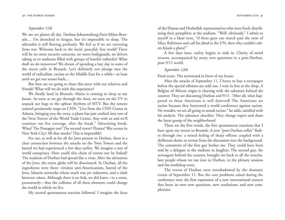#### *September 11th*

We are on planes all day. Durban-Johannesburg-Paris-Milan-Brussels.... I'm drenched in fatigue, but it's impossible to sleep. The adrenalin is still flowing profusely. We feel as if we are returning from war. Welcome back to the lucid, peaceful, free world! There will be no more security concerns, no more bodyguards, no drivers taking us to stadiums filled with groups of hateful imbeciles! What shall we do tomorrow? We dream of spending a lazy day in some of the nicest cafés in Brussels. Let's definitely not plunge into the world of radicalism, racism or the Middle East for a while—at least until we get our senses back....

But how are we going to share this story with our relatives and friends? What will we do with this experience?

We finally land in Brussels. Marta is coming to sleep at my house. As soon as we get through the door, we turn on the TV to unpack our bags to the upbeat rhythms of MTV. But the remote control persistently stops on CNN. "Live from the CNN Center in Atlanta, bringing you the story, a plane has just crashed into one of the Twin Towers of the World Trade Center. Stay with us and we'll continue our live coverage, after the break." Advertising break. What? The Pentagon too? The second tower? Flames? War scenes in New York City? All that smoke? This is impossible!

For me, as well as for all the Jews present in Durban, there is a clear connection between the attacks on the Twin Towers and the hatred we had experienced a few days earlier. We imagine a sort of world conspiracy. How could this chain of events not be linked? The madness of Durban had spread like a virus. After the alienation of the Jews, the entire globe will be disoriented. In Durban, all the ingredients were there: virulent anti-Americanism, hatred of the Jews, Islamist networks whose reach was yet unknown, and a clash between values. Although there is no link, we did learn—in a sense, prematurely—that the collision of all these elements could change the world in which we live.

My second spontaneous reaction followed. I imagine the faces

of the Hamas and Hezbollah representatives who were freely distributing their pamphlets at the stadium. "Well, obviously," I admit to myself in a blasé tone, "if these guys can march past the nose of Mary Robinson and call for jihad at the UN, then why couldn't others hijack a plane?"

A few days later, reality begins to sink in. Clarity of mind returns, accompanied by many new questions in a post-Durban, post-9/11 world.

#### *September 12th*

Final scene. The newsstand in front of my house.

After the attacks of September 11, I hurry to buy a newspaper before the special editions are sold out. I wait in line at the shop. A Belgian of African origin is chatting with the salesman behind the counter. They are discussing Durban and 9/11. "After all, what happened to those Americans is well deserved! The Americans are racists because they boycotted a world conference against racism. No wonder, we are all going to attack racists," he adds, satisfied with his analysis. The salesman chuckles. They change topics and share the latest gossip of the neighborhood.

These are the first words, the first spontaneous reactions that I hear upon my return to Brussels. A new "post-Durban reflex" flashes through me: a mixed feeling of sharp offense coupled with a deliberate desire to retreat from the discussion into the background. The comments of the first guy bother me. They could have been said by a delegate at the stadium in laughter. The second guy, the newsagent behind the counter, brought me back to all the nonchalant people whom we ran into in Durban, in the plenary sessions and the workshop tents.

The events of Durban were overshadowed by the dramatic events of September 11. But the core problems raised during the conference were the first expression of a new international context that bears its own new questions, new confusions, and new complexities.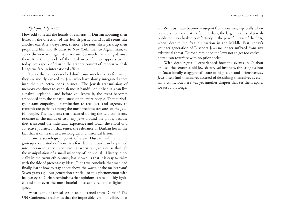#### *Epilogue, July 2008*

How odd to recall the hoards of cameras in Durban zooming their lenses in the direction of the Jewish participants! It all seems like another era. A few days later, silence. The journalists pack up their props and film and fly away to New York, then to Afghanistan, to cover the new war against terrorism. So much has changed since then. And the episode of the Durban conference appears to me today like a speck of dust in the grander context of imperative challenges we face in international affairs.

Today, the events described don't cause much anxiety for many; they are mostly evoked by Jews who have slowly integrated them into their collective consciousness. The Jewish transmission of memory continues to astonish me: A handful of individuals can live a painful episode—and before you know it, the event becomes embedded into the consciousness of an entire people. That curiosity, instant empathy, determination to recollect, and urgency to transmit are perhaps among the most precious treasures of the Jewish people. The incidents that occurred during the UN conference resonate in the minds of so many Jews around the globe, because they transcend the individual experience and touch the chord of a collective journey. In that sense, the relevance of Durban lies in the fact that it can teach us a sociological and historical lesson.

From a sociological point of view, Durban will remain a grotesque case study of how in a few days, a crowd can be pushed into motion to, at best acquiesce, at worst rally, to a cause through the manipulation of a small minority of individuals. History, especially in the twentieth century, has shown us that it is easy to swim with the tide of present-day ideas. Didn't we conclude that man had finally learnt how to stay afloat above the waves of the mainstream? Seven years ago, our generation testified to this phenomenon with its own eyes. Durban reminds us that opinions can be quickly ignited and that even the most hateful ones can circulate at lightning speed.

What is the historical lesson to be learned from Durban? The UN Conference teaches us that the impossible is still possible. That

anti-Semitism can become resurgent from nowhere, especially when one does not expect it. Before Durban, the large majority of Jewish public opinion basked comfortably in the peaceful days of the '90s, when, despite the fragile situation in the Middle East, today's younger generation of Diaspora Jews no longer suffered from any existential threat. Durban reminded the Jews not to get too cocky hatred can resurface with no prior notice.

With deep regret, I experienced how the events in Durban aroused the centuries-old Jewish survival instincts, thrusting us into an (occasionally exaggerated) state of high alert and defensiveness. Jews often find themselves accused of describing themselves as eternal victims. But here was yet another chapter that set them apart, for just a bit longer.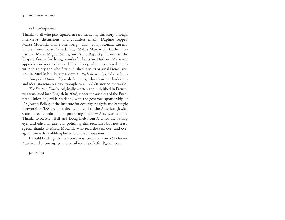#### *Acknowledgments*

Thanks to all who participated in reconstructing this story through interviews, discussions, and countless emails: Daphné Tepper, Marta Mucznik, Diane Sheinberg, Julian Voloj, Ronald Eissens, Suzette Bronkhorst, Yehuda Kay, Malka Marcovich, Cathy Fitzpatrick, Maria Miguel Sierra, and Anne Bayefsky. Thanks to the Shapiro family for being wonderful hosts in Durban. My warm appreciation goes to Bernard Henri-Lévy, who encouraged me to write this story and who first published it in its original French version in 2004 in his literary review, *La Règle du Jeu*. Special thanks to the European Union of Jewish Students, whose current leadership and idealism remain a true example to all NGOs around the world.

*The Durban Diaries*, originally written and published in French, was translated into English in 2008, under the auspices of the European Union of Jewish Students, with the generous sponsorship of Dr. Joseph Bollag of the Institute for Security Analysis and Strategic Networking (ISSN). I am deeply grateful to the American Jewish Committee for editing and producing this new American edition. Thanks to Roselyn Bell and Doug Lieb from AJC for their sharp eyes and editorial talent in polishing this text. Last but not least, special thanks to Marta Mucznik, who read the text over and over again, tirelessly scribbling her invaluable annotations.

I would be delighted to receive your comments on *The Durban Diaries* and encourage you to email me at joelle.fiss@gmail.com.

Joëlle Fiss